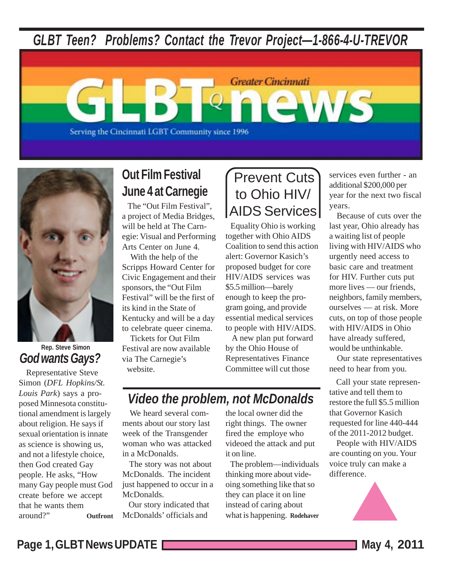*GLBT Teen? Problems? Contact the Trevor Project—1-866-4-U-TREVOR*

Serving the Cincinnati LGBT Community since 1996



#### *God wants Gays?* **Rep. Steve Simon**

 Representative Steve Simon (*DFL Hopkins/St. Louis Park*) says a proposed Minnesota constitutional amendment is largely about religion. He says if sexual orientation is innate as science is showing us, and not a lifestyle choice, then God created Gay people. He asks, "How many Gay people must God create before we accept that he wants them around?" **Outfront**

# **Out Film Festival June 4 at Carnegie**

 The "Out Film Festival", a project of Media Bridges, will be held at The Carnegie: Visual and Performing Arts Center on June 4.

 With the help of the Scripps Howard Center for Civic Engagement and their sponsors, the "Out Film Festival" will be the first of its kind in the State of Kentucky and will be a day to celebrate queer cinema.

 Tickets for Out Film Festival are now available via The Carnegie's website.

# Prevent Cuts to Ohio HIV/ AIDS Services

**Greater Cincinnati** 

ews

 Equality Ohio is working together with Ohio AIDS Coalition to send this action alert: Governor Kasich's proposed budget for core HIV/AIDS services was \$5.5 million—barely enough to keep the program going, and provide essential medical services to people with HIV/AIDS.

 A new plan put forward by the Ohio House of Representatives Finance Committee will cut those

# *Video the problem, not McDonalds*

We heard several comments about our story last week of the Transgender woman who was attacked in a McDonalds.

 The story was not about McDonalds. The incident just happened to occur in a McDonalds.

 Our story indicated that McDonalds' officials and

the local owner did the right things. The owner fired the employe who videoed the attack and put it on line.

 The problem—individuals thinking more about videoing something like that so they can place it on line instead of caring about what is happening. **Rodehaver** services even further - an additional \$200,000 per year for the next two fiscal years.

 Because of cuts over the last year, Ohio already has a waiting list of people living with HIV/AIDS who urgently need access to basic care and treatment for HIV. Further cuts put more lives — our friends, neighbors, family members, ourselves — at risk. More cuts, on top of those people with HIV/AIDS in Ohio have already suffered, would be unthinkable.

 Our state representatives need to hear from you.

 Call your state representative and tell them to restore the full \$5.5 million that Governor Kasich requested for line 440-444 of the 2011-2012 budget.

 People with HIV/AIDS are counting on you. Your voice truly can make a difference.

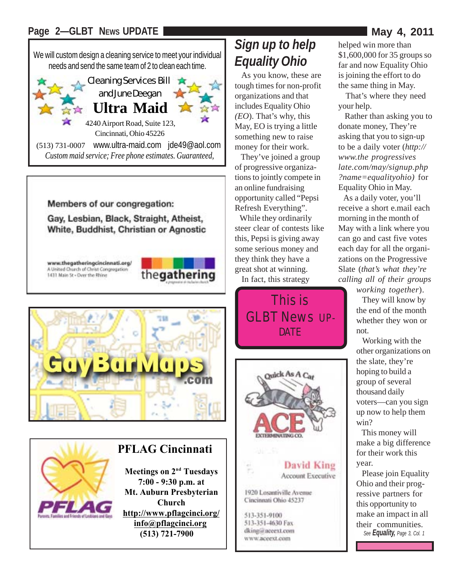#### Page 2-GLBT NEWS UPDATE



*Custom maid service; Free phone estimates. Guaranteed,*

Members of our congregation:

Gay, Lesbian, Black, Straight, Atheist, White, Buddhist, Christian or Agnostic

www.thegatheringcincinnati.org/ A United Church of Christ Congregation 1431 Main St - Over the Rhine







### **PFLAG Cincinnati**

**Meetings on 2<sup>nd</sup> Tuesdays 7:00 - 9:30 p.m. at Mt. Auburn Presbyterian Church http://www.pflagcinci.org/ info@pflagcinci.org (513) 721-7900**

# *Sign up to help Equality Ohio*

 As you know, these are tough times for non-profit organizations and that includes Equality Ohio *(EO*). That's why, this May, EO is trying a little something new to raise money for their work.

 They've joined a group of progressive organizations to jointly compete in an online fundraising opportunity called "Pepsi Refresh Everything".

 While they ordinarily steer clear of contests like this, Pepsi is giving away some serious money and they think they have a great shot at winning.

In fact, this strategy





**David King Account Executive** 

1920 Losantiville Avenue Cincinnati Ohio 45237

513-351-9100 513-351-4630 Fax dking@nceext.com www.aceext.com

helped win more than \$1,600,000 for 35 groups so far and now Equality Ohio is joining the effort to do the same thing in May.

 That's where they need your help.

 Rather than asking you to donate money, They're asking that you to sign-up to be a daily voter (*http:// www.the-progressiveslate.com/may/signup.php- ?name=equalityohio)* for Equality Ohio in May.

 As a daily voter, you'll receive a short e.mail each morning in the month of May with a link where you can go and cast five votes each day for all the organizations on the Progressive Slate (*that's what they're calling all of their groups working together*).

 They will know by the end of the month whether they won or not.

 Working with the other organizations on the slate, they're hoping to build a group of several thousand daily voters—can you sign up now to help them win?

 This money will make a big difference for their work this year.

 Please join Equality Ohio and their progressive partners for this opportunity to make an impact in all their communities. *See Equality, Page 3, Col. 1*